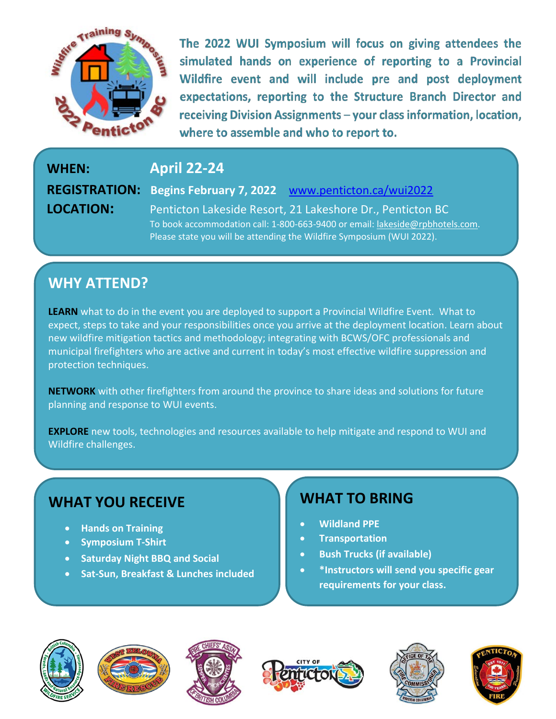

The 2022 WUI Symposium will focus on giving attendees the simulated hands on experience of reporting to a Provincial Wildfire event and will include pre and post deployment expectations, reporting to the Structure Branch Director and receiving Division Assignments - your class information, location, where to assemble and who to report to.

**WHEN: April 22-24 REGISTRATION: Begins February 7, 2022** www.penticton.ca/wui2022 **LOCATION:** Penticton Lakeside Resort, 21 Lakeshore Dr., Penticton BC To book accommodation call: 1-800-663-9400 or email: [lakeside@rpbhotels.com.](mailto:lakeside@rpbhotels.com)

### **WHY ATTEND?**

**LEARN** what to do in the event you are deployed to support a Provincial Wildfire Event. What to expect, steps to take and your responsibilities once you arrive at the deployment location. Learn about new wildfire mitigation tactics and methodology; integrating with BCWS/OFC professionals and municipal firefighters who are active and current in today's most effective wildfire suppression and protection techniques.

Please state you will be attending the Wildfire Symposium (WUI 2022).

**NETWORK** with other firefighters from around the province to share ideas and solutions for future planning and response to WUI events.

**EXPLORE** new tools, technologies and resources available to help mitigate and respond to WUI and Wildfire challenges.

### **WHAT YOU RECEIVE**

- **Hands on Training**
- **Symposium T-Shirt**
- **Saturday Night BBQ and Social**
- **Sat-Sun, Breakfast & Lunches included**

### **WHAT TO BRING**

- **Wildland PPE**
- **Transportation**
- **Bush Trucks (if available)**
- **\*Instructors will send you specific gear requirements for your class.**











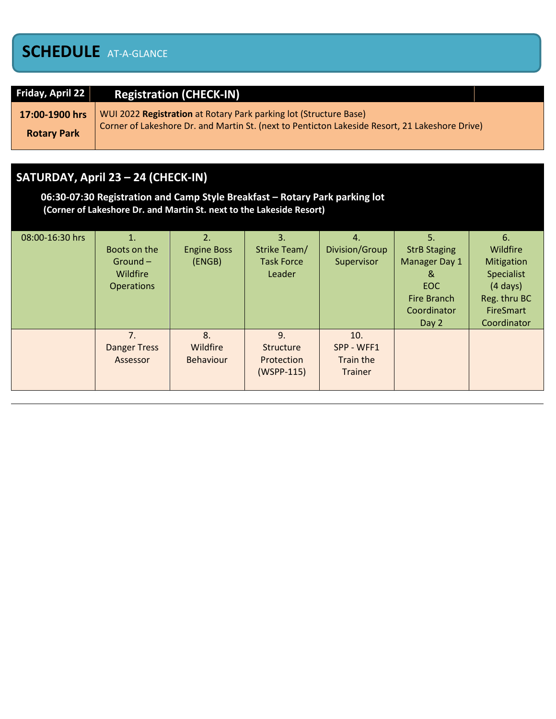## **SCHEDULE** AT-A-GLANCE

| Friday, April 22   | <b>Registration (CHECK-IN)</b>                                                                 |
|--------------------|------------------------------------------------------------------------------------------------|
| 17:00-1900 hrs     | WUI 2022 Registration at Rotary Park parking lot (Structure Base)                              |
| <b>Rotary Park</b> | Corner of Lakeshore Dr. and Martin St. (next to Penticton Lakeside Resort, 21 Lakeshore Drive) |

### **SATURDAY, April 23 – 24 (CHECK-IN)**

**06:30-07:30 Registration and Camp Style Breakfast – Rotary Park parking lot (Corner of Lakeshore Dr. and Martin St. next to the Lakeside Resort)**

| 08:00-16:30 hrs | 1.<br>Boots on the<br>$Ground -$<br>Wildfire<br><b>Operations</b> | 2.<br><b>Engine Boss</b><br>(ENGB) | 3.<br>Strike Team/<br><b>Task Force</b><br>Leader | 4.<br>Division/Group<br>Supervisor               | 5.<br><b>StrB Staging</b><br>Manager Day 1<br>୍ଷ<br><b>EOC</b><br>Fire Branch<br>Coordinator<br>Day 2 | 6.<br>Wildfire<br>Mitigation<br>Specialist<br>$(4 \text{ days})$<br>Reg. thru BC<br><b>FireSmart</b><br>Coordinator |
|-----------------|-------------------------------------------------------------------|------------------------------------|---------------------------------------------------|--------------------------------------------------|-------------------------------------------------------------------------------------------------------|---------------------------------------------------------------------------------------------------------------------|
|                 | 7 <sub>1</sub><br><b>Danger Tress</b><br>Assessor                 | 8.<br>Wildfire<br><b>Behaviour</b> | 9.<br>Structure<br>Protection<br>(WSPP-115)       | 10.<br>SPP - WFF1<br>Train the<br><b>Trainer</b> |                                                                                                       |                                                                                                                     |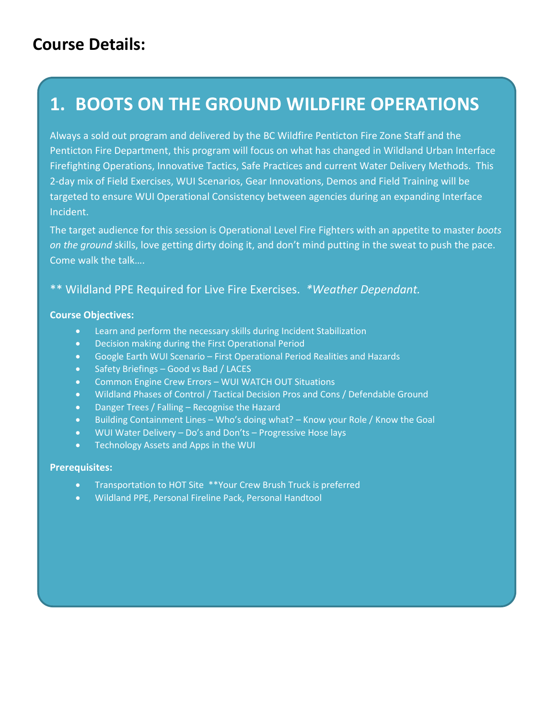## **Course Details:**

# **1. BOOTS ON THE GROUND WILDFIRE OPERATIONS**

Always a sold out program and delivered by the BC Wildfire Penticton Fire Zone Staff and the Penticton Fire Department, this program will focus on what has changed in Wildland Urban Interface Firefighting Operations, Innovative Tactics, Safe Practices and current Water Delivery Methods. This 2-day mix of Field Exercises, WUI Scenarios, Gear Innovations, Demos and Field Training will be targeted to ensure WUI Operational Consistency between agencies during an expanding Interface Incident.

The target audience for this session is Operational Level Fire Fighters with an appetite to master *boots on the ground* skills, love getting dirty doing it, and don't mind putting in the sweat to push the pace. Come walk the talk….

### \*\* Wildland PPE Required for Live Fire Exercises. *\*Weather Dependant.*

### **Course Objectives:**

- Learn and perform the necessary skills during Incident Stabilization
- Decision making during the First Operational Period
- Google Earth WUI Scenario First Operational Period Realities and Hazards
- Safety Briefings Good vs Bad / LACES
- Common Engine Crew Errors WUI WATCH OUT Situations
- Wildland Phases of Control / Tactical Decision Pros and Cons / Defendable Ground
- Danger Trees / Falling Recognise the Hazard
- Building Containment Lines Who's doing what? Know your Role / Know the Goal
- WUI Water Delivery Do's and Don'ts Progressive Hose lays
- Technology Assets and Apps in the WUI

### **Prerequisites:**

- Transportation to HOT Site \*\*Your Crew Brush Truck is preferred
- Wildland PPE, Personal Fireline Pack, Personal Handtool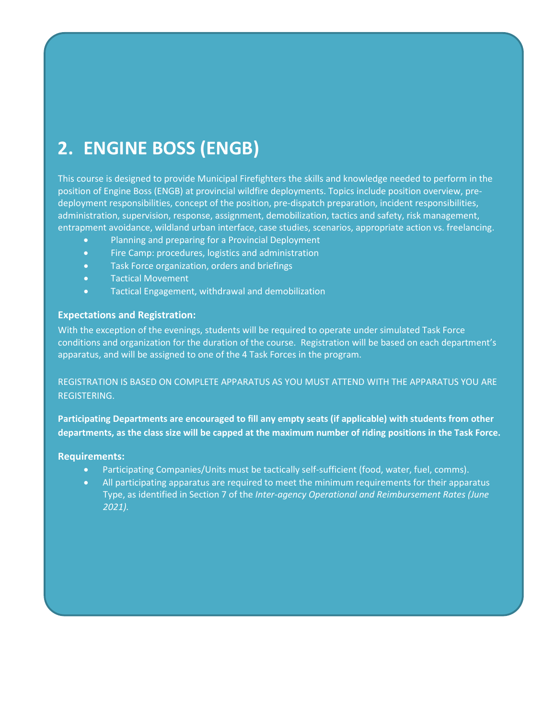# **2. ENGINE BOSS (ENGB)**

This course is designed to provide Municipal Firefighters the skills and knowledge needed to perform in the position of Engine Boss (ENGB) at provincial wildfire deployments. Topics include position overview, predeployment responsibilities, concept of the position, pre-dispatch preparation, incident responsibilities, administration, supervision, response, assignment, demobilization, tactics and safety, risk management, entrapment avoidance, wildland urban interface, case studies, scenarios, appropriate action vs. freelancing.

- Planning and preparing for a Provincial Deployment
- Fire Camp: procedures, logistics and administration
- Task Force organization, orders and briefings
- Tactical Movement
- Tactical Engagement, withdrawal and demobilization

#### **Expectations and Registration:**

With the exception of the evenings, students will be required to operate under simulated Task Force conditions and organization for the duration of the course. Registration will be based on each department's apparatus, and will be assigned to one of the 4 Task Forces in the program.

REGISTRATION IS BASED ON COMPLETE APPARATUS AS YOU MUST ATTEND WITH THE APPARATUS YOU ARE REGISTERING.

**Participating Departments are encouraged to fill any empty seats (if applicable) with students from other departments, as the class size will be capped at the maximum number of riding positions in the Task Force.**

#### **Requirements:**

- Participating Companies/Units must be tactically self-sufficient (food, water, fuel, comms).
- All participating apparatus are required to meet the minimum requirements for their apparatus Type, as identified in Section 7 of the *Inter-agency Operational and Reimbursement Rates (June 2021).*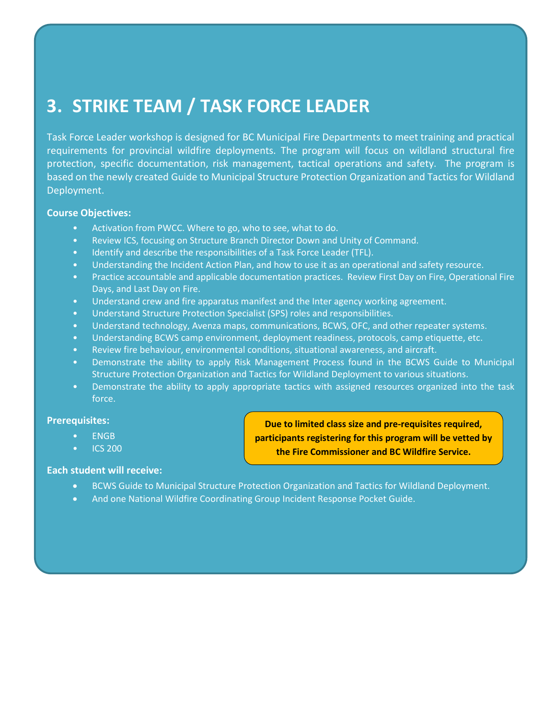# **3. STRIKE TEAM / TASK FORCE LEADER**

Task Force Leader workshop is designed for BC Municipal Fire Departments to meet training and practical requirements for provincial wildfire deployments. The program will focus on wildland structural fire protection, specific documentation, risk management, tactical operations and safety. The program is based on the newly created Guide to Municipal Structure Protection Organization and Tactics for Wildland Deployment.

### **Course Objectives:**

- Activation from PWCC. Where to go, who to see, what to do.
- Review ICS, focusing on Structure Branch Director Down and Unity of Command.
- Identify and describe the responsibilities of a Task Force Leader (TFL).
- Understanding the Incident Action Plan, and how to use it as an operational and safety resource.
- Practice accountable and applicable documentation practices. Review First Day on Fire, Operational Fire Days, and Last Day on Fire.
- Understand crew and fire apparatus manifest and the Inter agency working agreement.
- Understand Structure Protection Specialist (SPS) roles and responsibilities.
- Understand technology, Avenza maps, communications, BCWS, OFC, and other repeater systems.
- Understanding BCWS camp environment, deployment readiness, protocols, camp etiquette, etc.
- Review fire behaviour, environmental conditions, situational awareness, and aircraft.
- Demonstrate the ability to apply Risk Management Process found in the BCWS Guide to Municipal Structure Protection Organization and Tactics for Wildland Deployment to various situations.
- Demonstrate the ability to apply appropriate tactics with assigned resources organized into the task force.

### **Prerequisites:**

- ENGB
- ICS 200

### **Each student will receive:**

- BCWS Guide to Municipal Structure Protection Organization and Tactics for Wildland Deployment.
- And one National Wildfire Coordinating Group Incident Response Pocket Guide.

**Due to limited class size and pre-requisites required, participants registering for this program will be vetted by the Fire Commissioner and BC Wildfire Service.**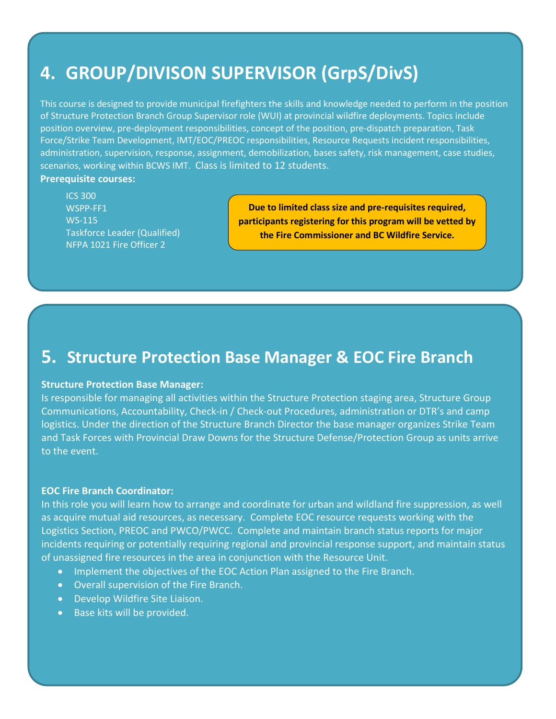# **4. GROUP/DIVISON SUPERVISOR (GrpS/DivS)**

This course is designed to provide municipal firefighters the skills and knowledge needed to perform in the position of Structure Protection Branch Group Supervisor role (WUI) at provincial wildfire deployments. Topics include position overview, pre-deployment responsibilities, concept of the position, pre-dispatch preparation, Task Force/Strike Team Development, IMT/EOC/PREOC responsibilities, Resource Requests incident responsibilities, administration, supervision, response, assignment, demobilization, bases safety, risk management, case studies, scenarios, working within BCWS IMT. Class is limited to 12 students.

**Prerequisite courses:**

ICS 300 WSPP-FF1 WS-115 Taskforce Leader (Qualified) NFPA 1021 Fire Officer 2

**Due to limited class size and pre-requisites required, participants registering for this program will be vetted by the Fire Commissioner and BC Wildfire Service.**

### **5. Structure Protection Base Manager & EOC Fire Branch**

#### **Structure Protection Base Manager:**

Is responsible for managing all activities within the Structure Protection staging area, Structure Group Communications, Accountability, Check-in / Check-out Procedures, administration or DTR's and camp logistics. Under the direction of the Structure Branch Director the base manager organizes Strike Team and Task Forces with Provincial Draw Downs for the Structure Defense/Protection Group as units arrive to the event.

#### **EOC Fire Branch Coordinator:**

In this role you will learn how to arrange and coordinate for urban and wildland fire suppression, as well as acquire mutual aid resources, as necessary. Complete EOC resource requests working with the Logistics Section, PREOC and PWCO/PWCC. Complete and maintain branch status reports for major incidents requiring or potentially requiring regional and provincial response support, and maintain status of unassigned fire resources in the area in conjunction with the Resource Unit.

- Implement the objectives of the EOC Action Plan assigned to the Fire Branch.
- Overall supervision of the Fire Branch.
- Develop Wildfire Site Liaison.
- Base kits will be provided.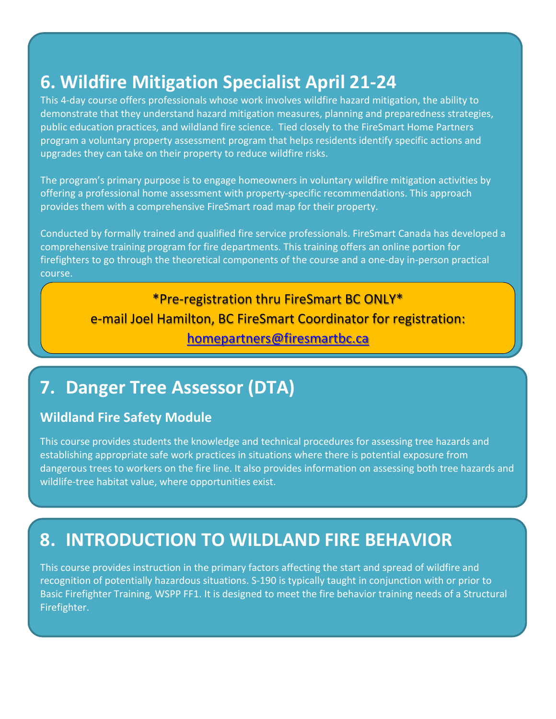# **6. Wildfire Mitigation Specialist April 21-24**

This 4-day course offers professionals whose work involves wildfire hazard mitigation, the ability to demonstrate that they understand hazard mitigation measures, planning and preparedness strategies, public education practices, and wildland fire science. Tied closely to the FireSmart Home Partners program a voluntary property assessment program that helps residents identify specific actions and upgrades they can take on their property to reduce wildfire risks.

The program's primary purpose is to engage homeowners in voluntary wildfire mitigation activities by offering a professional home assessment with property-specific recommendations. This approach provides them with a comprehensive FireSmart road map for their property.

Conducted by formally trained and qualified fire service professionals. FireSmart Canada has developed a comprehensive training program for fire departments. This training offers an online portion for firefighters to go through the theoretical components of the course and a one-day in-person practical course.

# \*Pre-registration thru FireSmart BC ONLY\* e-mail Joel Hamilton, BC FireSmart Coordinator for registration:

### [homepartners@firesmartbc.ca](mailto:homepartners@firesmartbc.ca)

# **7. Danger Tree Assessor (DTA)**

### **Wildland Fire Safety Module**

This course provides students the knowledge and technical procedures for assessing tree hazards and establishing appropriate safe work practices in situations where there is potential exposure from dangerous trees to workers on the fire line. It also provides information on assessing both tree hazards and wildlife-tree habitat value, where opportunities exist.

# **8. INTRODUCTION TO WILDLAND FIRE BEHAVIOR**

This course provides instruction in the primary factors affecting the start and spread of wildfire and recognition of potentially hazardous situations. S-190 is typically taught in conjunction with or prior to Basic Firefighter Training, WSPP FF1. It is designed to meet the fire behavior training needs of a Structural Firefighter.